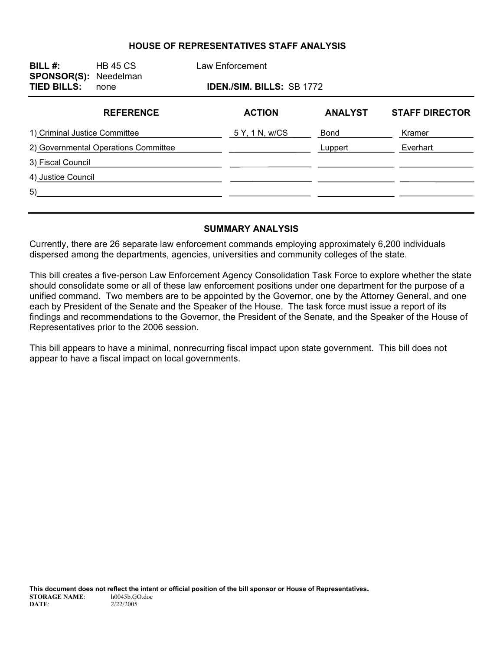#### **HOUSE OF REPRESENTATIVES STAFF ANALYSIS**

| BILL $#$ :<br><b>SPONSOR(S): Needelman</b><br><b>TIED BILLS:</b> | <b>HB 45 CS</b><br>none | Law Enforcement<br><b>IDEN./SIM. BILLS: SB 1772</b> |               |                |                       |  |
|------------------------------------------------------------------|-------------------------|-----------------------------------------------------|---------------|----------------|-----------------------|--|
|                                                                  | <b>REFERENCE</b>        |                                                     | <b>ACTION</b> | <b>ANALYST</b> | <b>STAFF DIRECTOR</b> |  |
| 1) Criminal Justice Committee                                    |                         | 5 Y, 1 N, w/CS                                      | <b>Bond</b>   | Kramer         |                       |  |
| 2) Governmental Operations Committee                             |                         |                                                     | Luppert       | Everhart       |                       |  |
| 3) Fiscal Council                                                |                         |                                                     |               |                |                       |  |
| 4) Justice Council                                               |                         |                                                     |               |                |                       |  |
| 5)                                                               |                         |                                                     |               |                |                       |  |
|                                                                  |                         |                                                     |               |                |                       |  |

#### **SUMMARY ANALYSIS**

Currently, there are 26 separate law enforcement commands employing approximately 6,200 individuals dispersed among the departments, agencies, universities and community colleges of the state.

This bill creates a five-person Law Enforcement Agency Consolidation Task Force to explore whether the state should consolidate some or all of these law enforcement positions under one department for the purpose of a unified command. Two members are to be appointed by the Governor, one by the Attorney General, and one each by President of the Senate and the Speaker of the House. The task force must issue a report of its findings and recommendations to the Governor, the President of the Senate, and the Speaker of the House of Representatives prior to the 2006 session.

This bill appears to have a minimal, nonrecurring fiscal impact upon state government. This bill does not appear to have a fiscal impact on local governments.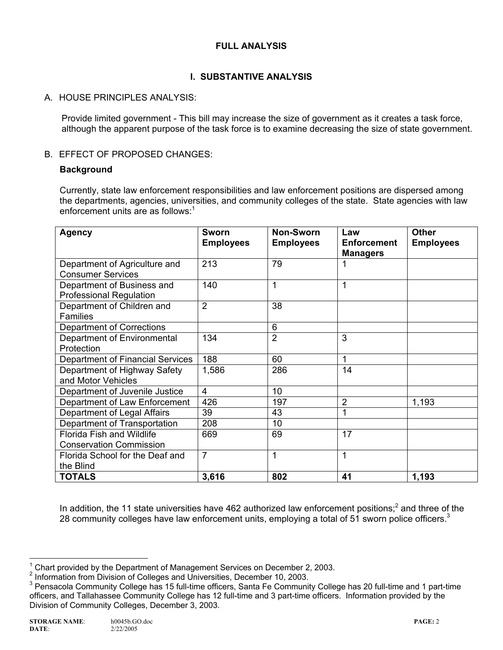### **FULL ANALYSIS**

## **I. SUBSTANTIVE ANALYSIS**

### A. HOUSE PRINCIPLES ANALYSIS:

Provide limited government - This bill may increase the size of government as it creates a task force, although the apparent purpose of the task force is to examine decreasing the size of state government.

### B. EFFECT OF PROPOSED CHANGES:

#### **Background**

Currently, state law enforcement responsibilities and law enforcement positions are dispersed among the departments, agencies, universities, and community colleges of the state. State agencies with law enforcement units are as follows: $1$ 

| <b>Agency</b>                                                      | Sworn<br><b>Employees</b> | <b>Non-Sworn</b><br><b>Employees</b> | Law<br><b>Enforcement</b><br><b>Managers</b> | <b>Other</b><br><b>Employees</b> |
|--------------------------------------------------------------------|---------------------------|--------------------------------------|----------------------------------------------|----------------------------------|
| Department of Agriculture and<br><b>Consumer Services</b>          | 213                       | 79                                   |                                              |                                  |
| Department of Business and<br><b>Professional Regulation</b>       | 140                       | 1                                    |                                              |                                  |
| Department of Children and<br><b>Families</b>                      | $\overline{2}$            | 38                                   |                                              |                                  |
| Department of Corrections                                          |                           | 6                                    |                                              |                                  |
| Department of Environmental<br>Protection                          | 134                       | $\overline{2}$                       | 3                                            |                                  |
| Department of Financial Services                                   | 188                       | 60                                   | 1                                            |                                  |
| Department of Highway Safety<br>and Motor Vehicles                 | 1,586                     | 286                                  | 14                                           |                                  |
| Department of Juvenile Justice                                     | $\overline{4}$            | 10                                   |                                              |                                  |
| Department of Law Enforcement                                      | 426                       | 197                                  | 2                                            | 1,193                            |
| Department of Legal Affairs                                        | 39                        | 43                                   |                                              |                                  |
| Department of Transportation                                       | 208                       | 10                                   |                                              |                                  |
| <b>Florida Fish and Wildlife</b><br><b>Conservation Commission</b> | 669                       | 69                                   | 17                                           |                                  |
| Florida School for the Deaf and<br>the Blind                       | $\overline{7}$            | 1                                    | 1                                            |                                  |
| <b>TOTALS</b>                                                      | 3,616                     | 802                                  | 41                                           | 1,193                            |

In addition, the 11 state universities have 462 authorized law enforcement positions;<sup>2</sup> and three of the 28 community colleges have law enforcement units, employing a total of 51 sworn police officers. $3$ 

THE TREAD TREAD TREAD TREAD TREAD TREAD TREAD TREAD TREAD TREAD TREAD TREAD TREAD TREAD TREAD TREAD TREAD TREA<br>The December 2, 2003.

<sup>&</sup>lt;sup>2</sup> Information from Division of Colleges and Universities, December 10, 2003.

<sup>&</sup>lt;sup>3</sup> Pensacola Community College has 15 full-time officers, Santa Fe Community College has 20 full-time and 1 part-time officers, and Tallahassee Community College has 12 full-time and 3 part-time officers. Information provided by the Division of Community Colleges, December 3, 2003.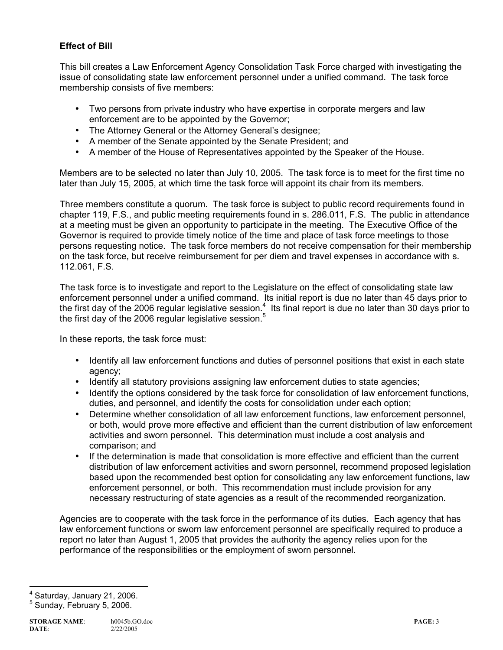### **Effect of Bill**

This bill creates a Law Enforcement Agency Consolidation Task Force charged with investigating the issue of consolidating state law enforcement personnel under a unified command. The task force membership consists of five members:

- Two persons from private industry who have expertise in corporate mergers and law enforcement are to be appointed by the Governor;
- The Attorney General or the Attorney General's designee;
- A member of the Senate appointed by the Senate President; and
- A member of the House of Representatives appointed by the Speaker of the House.

Members are to be selected no later than July 10, 2005. The task force is to meet for the first time no later than July 15, 2005, at which time the task force will appoint its chair from its members.

Three members constitute a quorum. The task force is subject to public record requirements found in chapter 119, F.S., and public meeting requirements found in s. 286.011, F.S. The public in attendance at a meeting must be given an opportunity to participate in the meeting. The Executive Office of the Governor is required to provide timely notice of the time and place of task force meetings to those persons requesting notice. The task force members do not receive compensation for their membership on the task force, but receive reimbursement for per diem and travel expenses in accordance with s. 112.061, F.S.

The task force is to investigate and report to the Legislature on the effect of consolidating state law enforcement personnel under a unified command. Its initial report is due no later than 45 days prior to the first day of the 2006 regular legislative session.<sup>4</sup> Its final report is due no later than 30 days prior to the first day of the 2006 regular legislative session.<sup>5</sup>

In these reports, the task force must:

- Identify all law enforcement functions and duties of personnel positions that exist in each state agency;
- Identify all statutory provisions assigning law enforcement duties to state agencies;
- Identify the options considered by the task force for consolidation of law enforcement functions, duties, and personnel, and identify the costs for consolidation under each option;
- Determine whether consolidation of all law enforcement functions, law enforcement personnel, or both, would prove more effective and efficient than the current distribution of law enforcement activities and sworn personnel. This determination must include a cost analysis and comparison; and
- If the determination is made that consolidation is more effective and efficient than the current distribution of law enforcement activities and sworn personnel, recommend proposed legislation based upon the recommended best option for consolidating any law enforcement functions, law enforcement personnel, or both. This recommendation must include provision for any necessary restructuring of state agencies as a result of the recommended reorganization.

Agencies are to cooperate with the task force in the performance of its duties. Each agency that has law enforcement functions or sworn law enforcement personnel are specifically required to produce a report no later than August 1, 2005 that provides the authority the agency relies upon for the performance of the responsibilities or the employment of sworn personnel.

ــ<br>4 Saturday, January 21, 2006.

5 Sunday, February 5, 2006.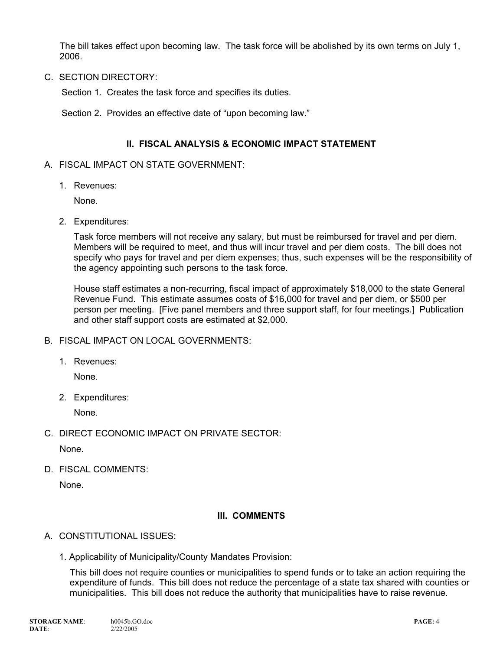The bill takes effect upon becoming law. The task force will be abolished by its own terms on July 1, 2006.

C. SECTION DIRECTORY:

Section 1. Creates the task force and specifies its duties.

Section 2. Provides an effective date of "upon becoming law."

#### **II. FISCAL ANALYSIS & ECONOMIC IMPACT STATEMENT**

#### A. FISCAL IMPACT ON STATE GOVERNMENT:

1. Revenues:

None.

2. Expenditures:

Task force members will not receive any salary, but must be reimbursed for travel and per diem. Members will be required to meet, and thus will incur travel and per diem costs. The bill does not specify who pays for travel and per diem expenses; thus, such expenses will be the responsibility of the agency appointing such persons to the task force.

House staff estimates a non-recurring, fiscal impact of approximately \$18,000 to the state General Revenue Fund. This estimate assumes costs of \$16,000 for travel and per diem, or \$500 per person per meeting. [Five panel members and three support staff, for four meetings.] Publication and other staff support costs are estimated at \$2,000.

- B. FISCAL IMPACT ON LOCAL GOVERNMENTS:
	- 1. Revenues:

None.

2. Expenditures:

None.

C. DIRECT ECONOMIC IMPACT ON PRIVATE SECTOR:

None.

D. FISCAL COMMENTS:

None.

#### **III. COMMENTS**

- A. CONSTITUTIONAL ISSUES:
	- 1. Applicability of Municipality/County Mandates Provision:

This bill does not require counties or municipalities to spend funds or to take an action requiring the expenditure of funds. This bill does not reduce the percentage of a state tax shared with counties or municipalities. This bill does not reduce the authority that municipalities have to raise revenue.